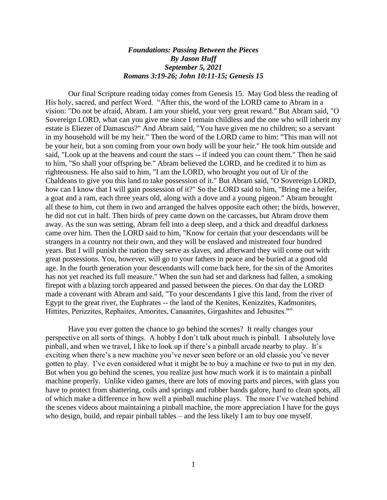## *Foundations: Passing Between the Pieces By Jason Huff September 5, 2021 Romans 3:19-26; John 10:11-15; Genesis 15*

Our final Scripture reading today comes from Genesis 15. May God bless the reading of His holy, sacred, and perfect Word. "After this, the word of the LORD came to Abram in a vision: "Do not be afraid, Abram. I am your shield, your very great reward." But Abram said, "O Sovereign LORD, what can you give me since I remain childless and the one who will inherit my estate is Eliezer of Damascus?" And Abram said, "You have given me no children; so a servant in my household will be my heir." Then the word of the LORD came to him: "This man will not be your heir, but a son coming from your own body will be your heir." He took him outside and said, "Look up at the heavens and count the stars -- if indeed you can count them." Then he said to him, "So shall your offspring be." Abram believed the LORD, and he credited it to him as righteousness. He also said to him, "I am the LORD, who brought you out of Ur of the Chaldeans to give you this land to take possession of it." But Abram said, "O Sovereign LORD, how can I know that I will gain possession of it?" So the LORD said to him, "Bring me a heifer, a goat and a ram, each three years old, along with a dove and a young pigeon." Abram brought all these to him, cut them in two and arranged the halves opposite each other; the birds, however, he did not cut in half. Then birds of prey came down on the carcasses, but Abram drove them away. As the sun was setting, Abram fell into a deep sleep, and a thick and dreadful darkness came over him. Then the LORD said to him, "Know for certain that your descendants will be strangers in a country not their own, and they will be enslaved and mistreated four hundred years. But I will punish the nation they serve as slaves, and afterward they will come out with great possessions. You, however, will go to your fathers in peace and be buried at a good old age. In the fourth generation your descendants will come back here, for the sin of the Amorites has not yet reached its full measure." When the sun had set and darkness had fallen, a smoking firepot with a blazing torch appeared and passed between the pieces. On that day the LORD made a covenant with Abram and said, "To your descendants I give this land, from the river of Egypt to the great river, the Euphrates -- the land of the Kenites, Kenizzites, Kadmonites, Hittites, Perizzites, Rephaites, Amorites, Canaanites, Girgashites and Jebusites.""

Have you ever gotten the chance to go behind the scenes? It really changes your perspective on all sorts of things. A hobby I don't talk about much is pinball. I absolutely love pinball, and when we travel, I like to look up if there's a pinball arcade nearby to play. It's exciting when there's a new machine you've never seen before or an old classic you've never gotten to play. I've even considered what it might be to buy a machine or two to put in my den. But when you go behind the scenes, you realize just how much work it is to maintain a pinball machine properly. Unlike video games, there are lots of moving parts and pieces, with glass you have to protect from shattering, coils and springs and rubber bands galore, hard to clean spots, all of which make a difference in how well a pinball machine plays. The more I've watched behind the scenes videos about maintaining a pinball machine, the more appreciation I have for the guys who design, build, and repair pinball tables – and the less likely I am to buy one myself.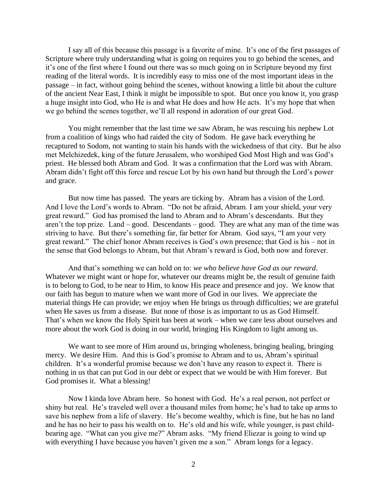I say all of this because this passage is a favorite of mine. It's one of the first passages of Scripture where truly understanding what is going on requires you to go behind the scenes, and it's one of the first where I found out there was so much going on in Scripture beyond my first reading of the literal words. It is incredibly easy to miss one of the most important ideas in the passage – in fact, without going behind the scenes, without knowing a little bit about the culture of the ancient Near East, I think it might be impossible to spot. But once you know it, you grasp a huge insight into God, who He is and what He does and how He acts. It's my hope that when we go behind the scenes together, we'll all respond in adoration of our great God.

You might remember that the last time we saw Abram, he was rescuing his nephew Lot from a coalition of kings who had raided the city of Sodom. He gave back everything he recaptured to Sodom, not wanting to stain his hands with the wickedness of that city. But he also met Melchizedek, king of the future Jerusalem, who worshiped God Most High and was God's priest. He blessed both Abram and God. It was a confirmation that the Lord was with Abram. Abram didn't fight off this force and rescue Lot by his own hand but through the Lord's power and grace.

But now time has passed. The years are ticking by. Abram has a vision of the Lord. And I love the Lord's words to Abram. "Do not be afraid, Abram. I am your shield, your very great reward." God has promised the land to Abram and to Abram's descendants. But they aren't the top prize. Land – good. Descendants – good. They are what any man of the time was striving to have. But there's something far, far better for Abram. God says, "I am your very great reward." The chief honor Abram receives is God's own presence; that God is his – not in the sense that God belongs to Abram, but that Abram's reward is God, both now and forever.

And that's something we can hold on to: *we who believe have God as our reward*. Whatever we might want or hope for, whatever our dreams might be, the result of genuine faith is to belong to God, to be near to Him, to know His peace and presence and joy. We know that our faith has begun to mature when we want more of God in our lives. We appreciate the material things He can provide; we enjoy when He brings us through difficulties; we are grateful when He saves us from a disease. But none of those is as important to us as God Himself. That's when we know the Holy Spirit has been at work – when we care less about ourselves and more about the work God is doing in our world, bringing His Kingdom to light among us.

We want to see more of Him around us, bringing wholeness, bringing healing, bringing mercy. We desire Him. And this is God's promise to Abram and to us, Abram's spiritual children. It's a wonderful promise because we don't have any reason to expect it. There is nothing in us that can put God in our debt or expect that we would be with Him forever. But God promises it. What a blessing!

Now I kinda love Abram here. So honest with God. He's a real person, not perfect or shiny but real. He's traveled well over a thousand miles from home; he's had to take up arms to save his nephew from a life of slavery. He's become wealthy, which is fine, but he has no land and he has no heir to pass his wealth on to. He's old and his wife, while younger, is past childbearing age. "What can you give me?" Abram asks. "My friend Eliezar is going to wind up with everything I have because you haven't given me a son." Abram longs for a legacy.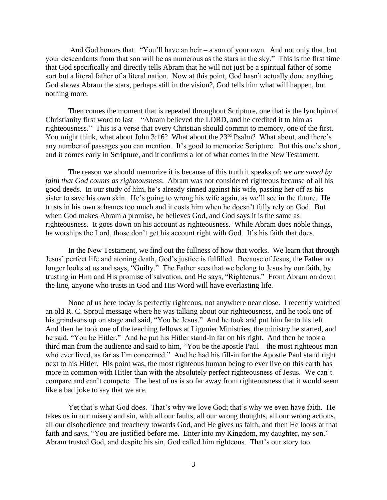And God honors that. "You'll have an heir – a son of your own. And not only that, but your descendants from that son will be as numerous as the stars in the sky." This is the first time that God specifically and directly tells Abram that he will not just be a spiritual father of some sort but a literal father of a literal nation. Now at this point, God hasn't actually done anything. God shows Abram the stars, perhaps still in the vision?, God tells him what will happen, but nothing more.

Then comes the moment that is repeated throughout Scripture, one that is the lynchpin of Christianity first word to last – "Abram believed the LORD, and he credited it to him as righteousness." This is a verse that every Christian should commit to memory, one of the first. You might think, what about John 3:16? What about the 23<sup>rd</sup> Psalm? What about, and there's any number of passages you can mention. It's good to memorize Scripture. But this one's short, and it comes early in Scripture, and it confirms a lot of what comes in the New Testament.

The reason we should memorize it is because of this truth it speaks of: *we are saved by faith that God counts as righteousness*. Abram was not considered righteous because of all his good deeds. In our study of him, he's already sinned against his wife, passing her off as his sister to save his own skin. He's going to wrong his wife again, as we'll see in the future. He trusts in his own schemes too much and it costs him when he doesn't fully rely on God. But when God makes Abram a promise, he believes God, and God says it is the same as righteousness. It goes down on his account as righteousness. While Abram does noble things, he worships the Lord, those don't get his account right with God. It's his faith that does.

In the New Testament, we find out the fullness of how that works. We learn that through Jesus' perfect life and atoning death, God's justice is fulfilled. Because of Jesus, the Father no longer looks at us and says, "Guilty." The Father sees that we belong to Jesus by our faith, by trusting in Him and His promise of salvation, and He says, "Righteous." From Abram on down the line, anyone who trusts in God and His Word will have everlasting life.

None of us here today is perfectly righteous, not anywhere near close. I recently watched an old R. C. Sproul message where he was talking about our righteousness, and he took one of his grandsons up on stage and said, "You be Jesus." And he took and put him far to his left. And then he took one of the teaching fellows at Ligonier Ministries, the ministry he started, and he said, "You be Hitler." And he put his Hitler stand-in far on his right. And then he took a third man from the audience and said to him, "You be the apostle Paul – the most righteous man who ever lived, as far as I'm concerned." And he had his fill-in for the Apostle Paul stand right next to his Hitler. His point was, the most righteous human being to ever live on this earth has more in common with Hitler than with the absolutely perfect righteousness of Jesus. We can't compare and can't compete. The best of us is so far away from righteousness that it would seem like a bad joke to say that we are.

Yet that's what God does. That's why we love God; that's why we even have faith. He takes us in our misery and sin, with all our faults, all our wrong thoughts, all our wrong actions, all our disobedience and treachery towards God, and He gives us faith, and then He looks at that faith and says, "You are justified before me. Enter into my Kingdom, my daughter, my son." Abram trusted God, and despite his sin, God called him righteous. That's our story too.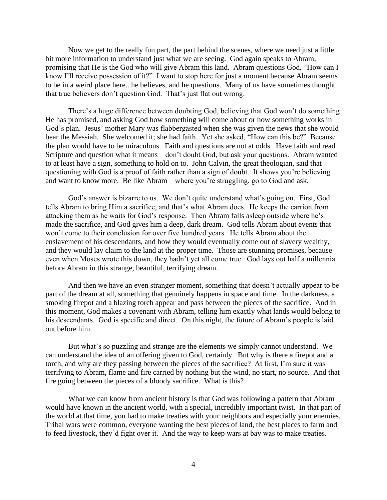Now we get to the really fun part, the part behind the scenes, where we need just a little bit more information to understand just what we are seeing. God again speaks to Abram, promising that He is the God who will give Abram this land. Abram questions God, "How can I know I'll receive possession of it?" I want to stop here for just a moment because Abram seems to be in a weird place here...he believes, and he questions. Many of us have sometimes thought that true believers don't question God. That's just flat out wrong.

There's a huge difference between doubting God, believing that God won't do something He has promised, and asking God how something will come about or how something works in God's plan. Jesus' mother Mary was flabbergasted when she was given the news that she would bear the Messiah. She welcomed it; she had faith. Yet she asked, "How can this be?" Because the plan would have to be miraculous. Faith and questions are not at odds. Have faith and read Scripture and question what it means – don't doubt God, but ask your questions. Abram wanted to at least have a sign, something to hold on to. John Calvin, the great theologian, said that questioning with God is a proof of faith rather than a sign of doubt. It shows you're believing and want to know more. Be like Abram – where you're struggling, go to God and ask.

God's answer is bizarre to us. We don't quite understand what's going on. First, God tells Abram to bring Him a sacrifice, and that's what Abram does. He keeps the carrion from attacking them as he waits for God's response. Then Abram falls asleep outside where he's made the sacrifice, and God gives him a deep, dark dream. God tells Abram about events that won't come to their conclusion for over five hundred years. He tells Abram about the enslavement of his descendants, and how they would eventually come out of slavery wealthy, and they would lay claim to the land at the proper time. Those are stunning promises, because even when Moses wrote this down, they hadn't yet all come true. God lays out half a millennia before Abram in this strange, beautiful, terrifying dream.

And then we have an even stranger moment, something that doesn't actually appear to be part of the dream at all, something that genuinely happens in space and time. In the darkness, a smoking firepot and a blazing torch appear and pass between the pieces of the sacrifice. And in this moment, God makes a covenant with Abram, telling him exactly what lands would belong to his descendants. God is specific and direct. On this night, the future of Abram's people is laid out before him.

But what's so puzzling and strange are the elements we simply cannot understand. We can understand the idea of an offering given to God, certainly. But why is there a firepot and a torch, and why are they passing between the pieces of the sacrifice? At first, I'm sure it was terrifying to Abram, flame and fire carried by nothing but the wind, no start, no source. And that fire going between the pieces of a bloody sacrifice. What is this?

What we can know from ancient history is that God was following a pattern that Abram would have known in the ancient world, with a special, incredibly important twist. In that part of the world at that time, you had to make treaties with your neighbors and especially your enemies. Tribal wars were common, everyone wanting the best pieces of land, the best places to farm and to feed livestock, they'd fight over it. And the way to keep wars at bay was to make treaties.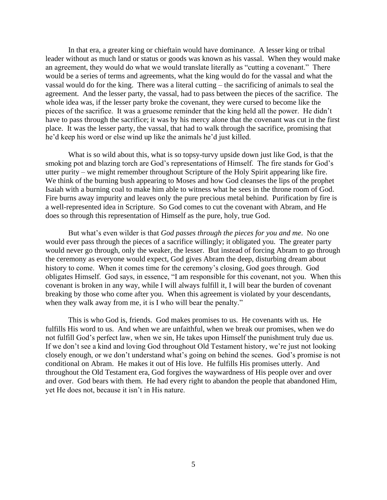In that era, a greater king or chieftain would have dominance. A lesser king or tribal leader without as much land or status or goods was known as his vassal. When they would make an agreement, they would do what we would translate literally as "cutting a covenant." There would be a series of terms and agreements, what the king would do for the vassal and what the vassal would do for the king. There was a literal cutting – the sacrificing of animals to seal the agreement. And the lesser party, the vassal, had to pass between the pieces of the sacrifice. The whole idea was, if the lesser party broke the covenant, they were cursed to become like the pieces of the sacrifice. It was a gruesome reminder that the king held all the power. He didn't have to pass through the sacrifice; it was by his mercy alone that the covenant was cut in the first place. It was the lesser party, the vassal, that had to walk through the sacrifice, promising that he'd keep his word or else wind up like the animals he'd just killed.

What is so wild about this, what is so topsy-turvy upside down just like God, is that the smoking pot and blazing torch are God's representations of Himself. The fire stands for God's utter purity – we might remember throughout Scripture of the Holy Spirit appearing like fire. We think of the burning bush appearing to Moses and how God cleanses the lips of the prophet Isaiah with a burning coal to make him able to witness what he sees in the throne room of God. Fire burns away impurity and leaves only the pure precious metal behind. Purification by fire is a well-represented idea in Scripture. So God comes to cut the covenant with Abram, and He does so through this representation of Himself as the pure, holy, true God.

But what's even wilder is that *God passes through the pieces for you and me*. No one would ever pass through the pieces of a sacrifice willingly; it obligated you. The greater party would never go through, only the weaker, the lesser. But instead of forcing Abram to go through the ceremony as everyone would expect, God gives Abram the deep, disturbing dream about history to come. When it comes time for the ceremony's closing, God goes through. God obligates Himself. God says, in essence, "I am responsible for this covenant, not you. When this covenant is broken in any way, while I will always fulfill it, I will bear the burden of covenant breaking by those who come after you. When this agreement is violated by your descendants, when they walk away from me, it is I who will bear the penalty."

This is who God is, friends. God makes promises to us. He covenants with us. He fulfills His word to us. And when we are unfaithful, when we break our promises, when we do not fulfill God's perfect law, when we sin, He takes upon Himself the punishment truly due us. If we don't see a kind and loving God throughout Old Testament history, we're just not looking closely enough, or we don't understand what's going on behind the scenes. God's promise is not conditional on Abram. He makes it out of His love. He fulfills His promises utterly. And throughout the Old Testament era, God forgives the waywardness of His people over and over and over. God bears with them. He had every right to abandon the people that abandoned Him, yet He does not, because it isn't in His nature.